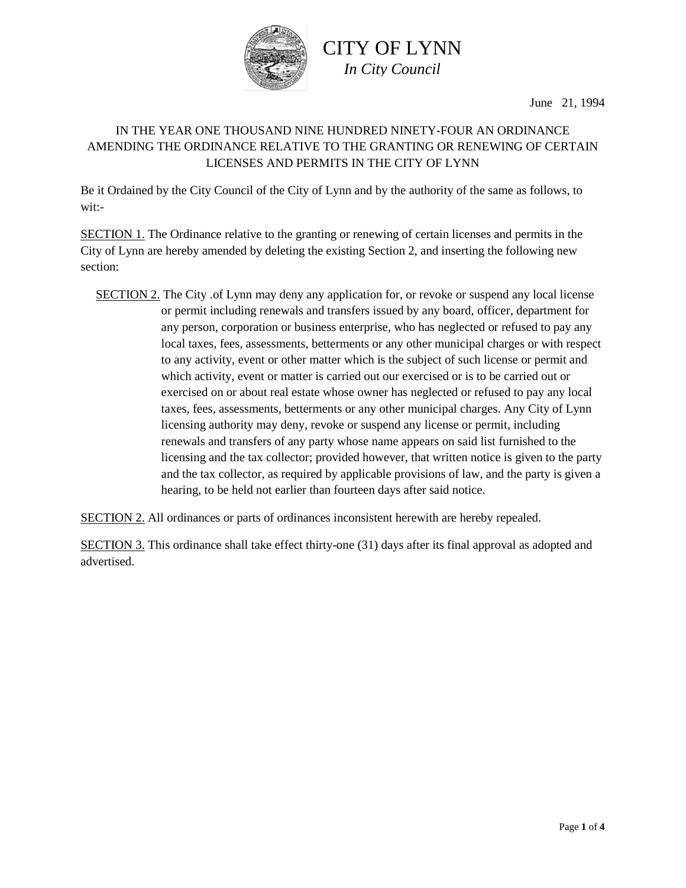

CITY OF LYNN *In City Council*

June 21, 1994

## IN THE YEAR ONE THOUSAND NINE HUNDRED NINETY-FOUR AN ORDINANCE AMENDING THE ORDINANCE RELATIVE TO THE GRANTING OR RENEWING OF CERTAIN LICENSES AND PERMITS IN THE CITY OF LYNN

Be it Ordained by the City Council of the City of Lynn and by the authority of the same as follows, to wit:-

SECTION 1. The Ordinance relative to the granting or renewing of certain licenses and permits in the City of Lynn are hereby amended by deleting the existing Section 2, and inserting the following new section:

SECTION 2. The City .of Lynn may deny any application for, or revoke or suspend any local license or permit including renewals and transfers issued by any board, officer, department for any person, corporation or business enterprise, who has neglected or refused to pay any local taxes, fees, assessments, betterments or any other municipal charges or with respect to any activity, event or other matter which is the subject of such license or permit and which activity, event or matter is carried out our exercised or is to be carried out or exercised on or about real estate whose owner has neglected or refused to pay any local taxes, fees, assessments, betterments or any other municipal charges. Any City of Lynn licensing authority may deny, revoke or suspend any license or permit, including renewals and transfers of any party whose name appears on said list furnished to the licensing and the tax collector; provided however, that written notice is given to the party and the tax collector, as required by applicable provisions of law, and the party is given a hearing, to be held not earlier than fourteen days after said notice.

SECTION 2. All ordinances or parts of ordinances inconsistent herewith are hereby repealed.

SECTION 3. This ordinance shall take effect thirty-one (31) days after its final approval as adopted and advertised.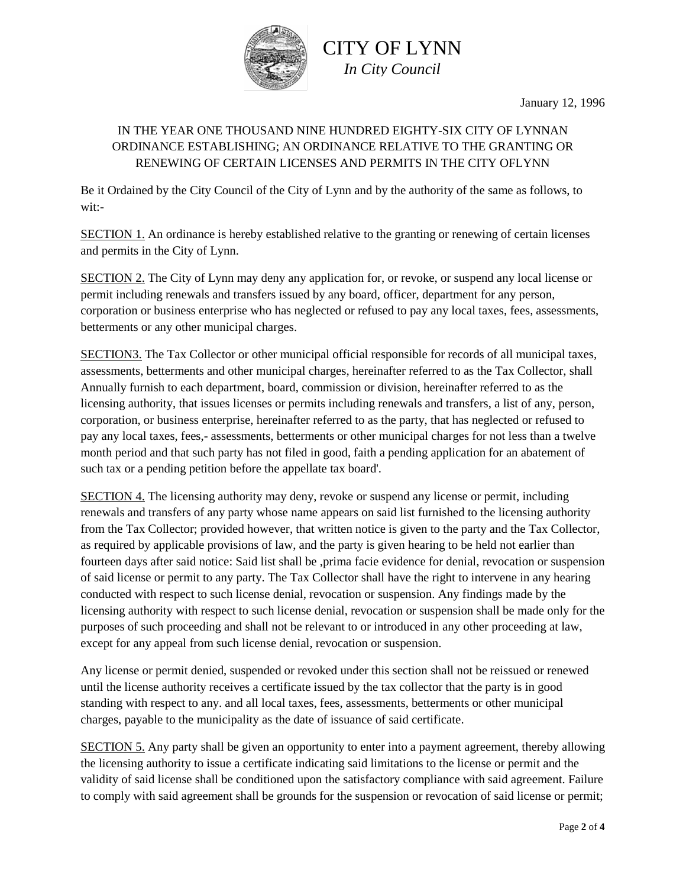

CITY OF LYNN *In City Council*

January 12, 1996

## IN THE YEAR ONE THOUSAND NINE HUNDRED EIGHTY-SIX CITY OF LYNNAN ORDINANCE ESTABLISHING; AN ORDINANCE RELATIVE TO THE GRANTING OR RENEWING OF CERTAIN LICENSES AND PERMITS IN THE CITY OFLYNN

Be it Ordained by the City Council of the City of Lynn and by the authority of the same as follows, to wit:-

SECTION 1. An ordinance is hereby established relative to the granting or renewing of certain licenses and permits in the City of Lynn.

SECTION 2. The City of Lynn may deny any application for, or revoke, or suspend any local license or permit including renewals and transfers issued by any board, officer, department for any person, corporation or business enterprise who has neglected or refused to pay any local taxes, fees, assessments, betterments or any other municipal charges.

SECTION3. The Tax Collector or other municipal official responsible for records of all municipal taxes, assessments, betterments and other municipal charges, hereinafter referred to as the Tax Collector, shall Annually furnish to each department, board, commission or division, hereinafter referred to as the licensing authority, that issues licenses or permits including renewals and transfers, a list of any, person, corporation, or business enterprise, hereinafter referred to as the party, that has neglected or refused to pay any local taxes, fees,- assessments, betterments or other municipal charges for not less than a twelve month period and that such party has not filed in good, faith a pending application for an abatement of such tax or a pending petition before the appellate tax board'.

SECTION 4. The licensing authority may deny, revoke or suspend any license or permit, including renewals and transfers of any party whose name appears on said list furnished to the licensing authority from the Tax Collector; provided however, that written notice is given to the party and the Tax Collector, as required by applicable provisions of law, and the party is given hearing to be held not earlier than fourteen days after said notice: Said list shall be ,prima facie evidence for denial, revocation or suspension of said license or permit to any party. The Tax Collector shall have the right to intervene in any hearing conducted with respect to such license denial, revocation or suspension. Any findings made by the licensing authority with respect to such license denial, revocation or suspension shall be made only for the purposes of such proceeding and shall not be relevant to or introduced in any other proceeding at law, except for any appeal from such license denial, revocation or suspension.

Any license or permit denied, suspended or revoked under this section shall not be reissued or renewed until the license authority receives a certificate issued by the tax collector that the party is in good standing with respect to any. and all local taxes, fees, assessments, betterments or other municipal charges, payable to the municipality as the date of issuance of said certificate.

SECTION 5. Any party shall be given an opportunity to enter into a payment agreement, thereby allowing the licensing authority to issue a certificate indicating said limitations to the license or permit and the validity of said license shall be conditioned upon the satisfactory compliance with said agreement. Failure to comply with said agreement shall be grounds for the suspension or revocation of said license or permit;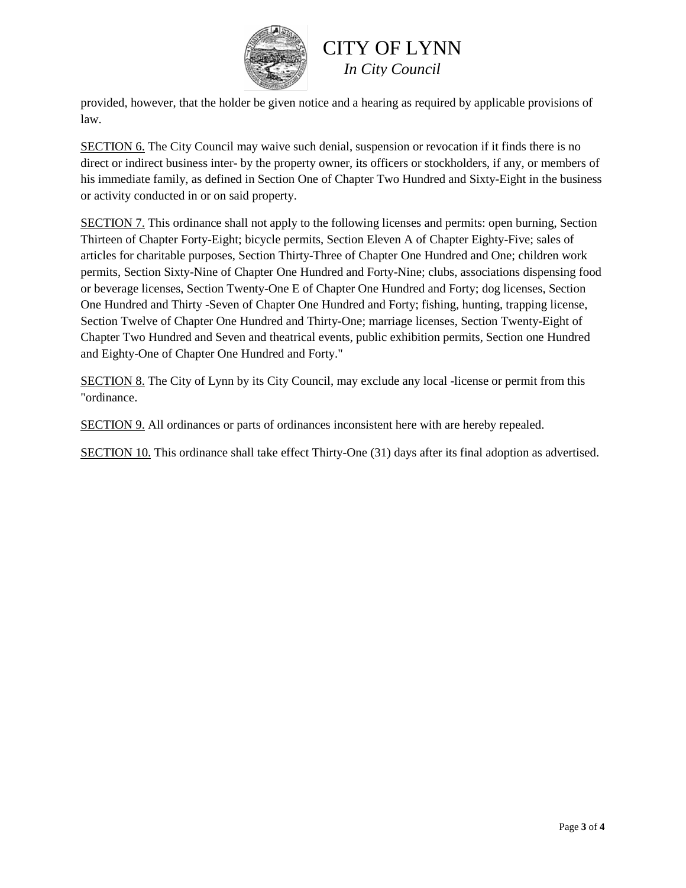

## CITY OF LYNN *In City Council*

provided, however, that the holder be given notice and a hearing as required by applicable provisions of law.

SECTION 6. The City Council may waive such denial, suspension or revocation if it finds there is no direct or indirect business inter- by the property owner, its officers or stockholders, if any, or members of his immediate family, as defined in Section One of Chapter Two Hundred and Sixty-Eight in the business or activity conducted in or on said property.

SECTION 7. This ordinance shall not apply to the following licenses and permits: open burning, Section Thirteen of Chapter Forty-Eight; bicycle permits, Section Eleven A of Chapter Eighty-Five; sales of articles for charitable purposes, Section Thirty-Three of Chapter One Hundred and One; children work permits, Section Sixty-Nine of Chapter One Hundred and Forty-Nine; clubs, associations dispensing food or beverage licenses, Section Twenty-One E of Chapter One Hundred and Forty; dog licenses, Section One Hundred and Thirty -Seven of Chapter One Hundred and Forty; fishing, hunting, trapping license, Section Twelve of Chapter One Hundred and Thirty-One; marriage licenses, Section Twenty-Eight of Chapter Two Hundred and Seven and theatrical events, public exhibition permits, Section one Hundred and Eighty-One of Chapter One Hundred and Forty."

SECTION 8. The City of Lynn by its City Council, may exclude any local -license or permit from this "ordinance.

SECTION 9. All ordinances or parts of ordinances inconsistent here with are hereby repealed.

SECTION 10. This ordinance shall take effect Thirty-One (31) days after its final adoption as advertised.